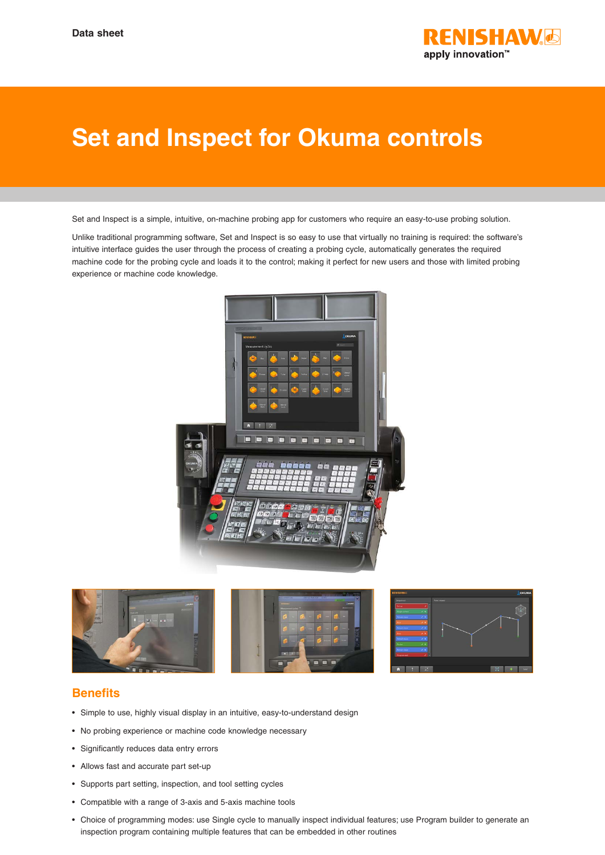

## **Set and Inspect for Okuma controls**

Set and Inspect is a simple, intuitive, on-machine probing app for customers who require an easy-to-use probing solution.

Unlike traditional programming software, Set and Inspect is so easy to use that virtually no training is required: the software's intuitive interface guides the user through the process of creating a probing cycle, automatically generates the required machine code for the probing cycle and loads it to the control; making it perfect for new users and those with limited probing experience or machine code knowledge.





## **Benefits**

- Simple to use, highly visual display in an intuitive, easy-to-understand design
- No probing experience or machine code knowledge necessary
- Significantly reduces data entry errors
- Allows fast and accurate part set-up
- Supports part setting, inspection, and tool setting cycles
- Compatible with a range of 3-axis and 5-axis machine tools
- Choice of programming modes: use Single cycle to manually inspect individual features; use Program builder to generate an inspection program containing multiple features that can be embedded in other routines